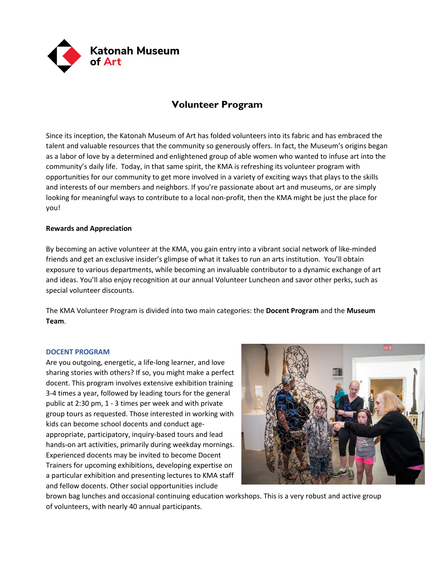

# **Volunteer Program**

Since its inception, the Katonah Museum of Art has folded volunteers into its fabric and has embraced the talent and valuable resources that the community so generously offers. In fact, the Museum's origins began as a labor of love by a determined and enlightened group of able women who wanted to infuse art into the community's daily life. Today, in that same spirit, the KMA is refreshing its volunteer program with opportunities for our community to get more involved in a variety of exciting ways that plays to the skills and interests of our members and neighbors. If you're passionate about art and museums, or are simply looking for meaningful ways to contribute to a local non-profit, then the KMA might be just the place for you!

# **Rewards and Appreciation**

By becoming an active volunteer at the KMA, you gain entry into a vibrant social network of like-minded friends and get an exclusive insider's glimpse of what it takes to run an arts institution. You'll obtain exposure to various departments, while becoming an invaluable contributor to a dynamic exchange of art and ideas. You'll also enjoy recognition at our annual Volunteer Luncheon and savor other perks, such as special volunteer discounts.

The KMA Volunteer Program is divided into two main categories: the **Docent Program** and the **Museum Team**.

## **DOCENT PROGRAM**

Are you outgoing, energetic, a life-long learner, and love sharing stories with others? If so, you might make a perfect docent. This program involves extensive exhibition training 3-4 times a year, followed by leading tours for the general public at 2:30 pm, 1 - 3 times per week and with private group tours as requested. Those interested in working with kids can become school docents and conduct ageappropriate, participatory, inquiry-based tours and lead hands-on art activities, primarily during weekday mornings. Experienced docents may be invited to become Docent Trainers for upcoming exhibitions, developing expertise on a particular exhibition and presenting lectures to KMA staff and fellow docents. Other social opportunities include



brown bag lunches and occasional continuing education workshops. This is a very robust and active group of volunteers, with nearly 40 annual participants.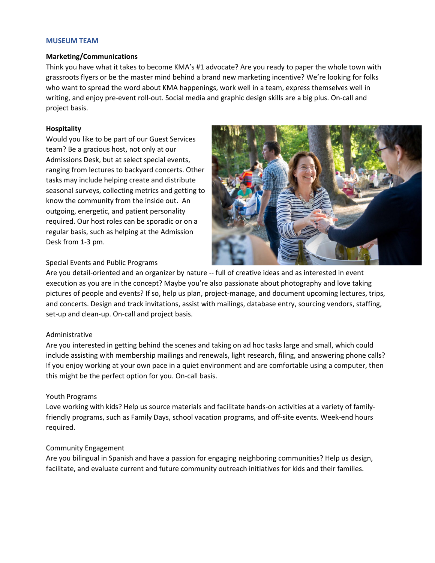#### **MUSEUM TEAM**

#### **Marketing/Communications**

Think you have what it takes to become KMA's #1 advocate? Are you ready to paper the whole town with grassroots flyers or be the master mind behind a brand new marketing incentive? We're looking for folks who want to spread the word about KMA happenings, work well in a team, express themselves well in writing, and enjoy pre-event roll-out. Social media and graphic design skills are a big plus. On-call and project basis.

#### **Hospitality**

Would you like to be part of our Guest Services team? Be a gracious host, not only at our Admissions Desk, but at select special events, ranging from lectures to backyard concerts. Other tasks may include helping create and distribute seasonal surveys, collecting metrics and getting to know the community from the inside out. An outgoing, energetic, and patient personality required. Our host roles can be sporadic or on a regular basis, such as helping at the Admission Desk from 1-3 pm.



#### Special Events and Public Programs

Are you detail-oriented and an organizer by nature -- full of creative ideas and as interested in event execution as you are in the concept? Maybe you're also passionate about photography and love taking pictures of people and events? If so, help us plan, project-manage, and document upcoming lectures, trips, and concerts. Design and track invitations, assist with mailings, database entry, sourcing vendors, staffing, set-up and clean-up. On-call and project basis.

#### Administrative

Are you interested in getting behind the scenes and taking on ad hoc tasks large and small, which could include assisting with membership mailings and renewals, light research, filing, and answering phone calls? If you enjoy working at your own pace in a quiet environment and are comfortable using a computer, then this might be the perfect option for you. On-call basis.

#### Youth Programs

Love working with kids? Help us source materials and facilitate hands-on activities at a variety of familyfriendly programs, such as Family Days, school vacation programs, and off-site events. Week-end hours required.

#### Community Engagement

Are you bilingual in Spanish and have a passion for engaging neighboring communities? Help us design, facilitate, and evaluate current and future community outreach initiatives for kids and their families.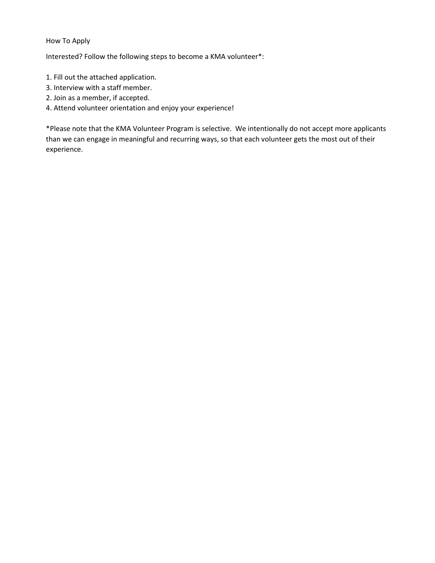# How To Apply

Interested? Follow the following steps to become a KMA volunteer\*:

- 1. Fill out the attached application.
- 3. Interview with a staff member.
- 2. Join as a member, if accepted.
- 4. Attend volunteer orientation and enjoy your experience!

\*Please note that the KMA Volunteer Program is selective. We intentionally do not accept more applicants than we can engage in meaningful and recurring ways, so that each volunteer gets the most out of their experience.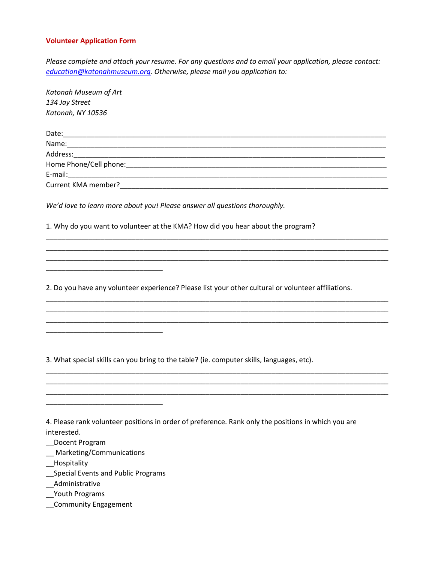### **Volunteer Application Form**

*Please complete and attach your resume. For any questions and to email your application, please contact: [education@katonahmuseum.org.](mailto:education@katonahmuseum.org) Otherwise, please mail you application to:*

| Katonah Museum of Art                                                                                              |
|--------------------------------------------------------------------------------------------------------------------|
| 134 Jay Street                                                                                                     |
| Katonah, NY 10536                                                                                                  |
|                                                                                                                    |
|                                                                                                                    |
|                                                                                                                    |
|                                                                                                                    |
|                                                                                                                    |
|                                                                                                                    |
| We'd love to learn more about you! Please answer all questions thoroughly.                                         |
| 1. Why do you want to volunteer at the KMA? How did you hear about the program?                                    |
|                                                                                                                    |
|                                                                                                                    |
|                                                                                                                    |
| 2. Do you have any volunteer experience? Please list your other cultural or volunteer affiliations.                |
|                                                                                                                    |
|                                                                                                                    |
|                                                                                                                    |
|                                                                                                                    |
| 3. What special skills can you bring to the table? (ie. computer skills, languages, etc).                          |
|                                                                                                                    |
|                                                                                                                    |
|                                                                                                                    |
| 4. Please rank volunteer positions in order of preference. Rank only the positions in which you are<br>interested. |

- \_\_Docent Program
- \_\_ Marketing/Communications
- \_\_Hospitality
- \_\_Special Events and Public Programs
- \_\_Administrative
- \_\_Youth Programs
- \_\_Community Engagement